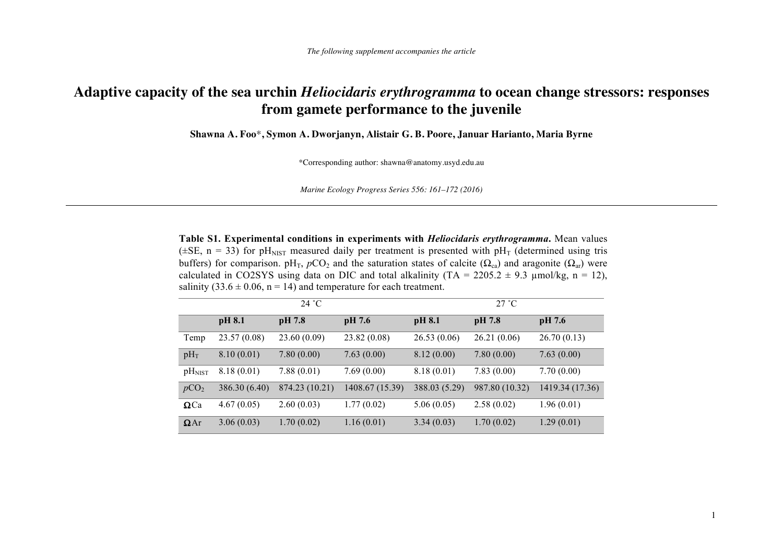## **Adaptive capacity of the sea urchin** *Heliocidaris erythrogramma* **to ocean change stressors: responses from gamete performance to the juvenile**

**Shawna A. Foo**\***, Symon A. Dworjanyn, Alistair G. B. Poore, Januar Harianto, Maria Byrne**

\*Corresponding author: shawna@anatomy.usyd.edu.au

*Marine Ecology Progress Series 556: 161–172 (2016)*

**Table S1. Experimental conditions in experiments with** *Heliocidaris erythrogramma***.** Mean values ( $\pm$ SE, n = 33) for pH<sub>NIST</sub> measured daily per treatment is presented with pH<sub>T</sub> (determined using tris buffers) for comparison. pH<sub>T</sub>,  $pCO_2$  and the saturation states of calcite ( $\Omega_{ca}$ ) and aragonite ( $\Omega_{ar}$ ) were calculated in CO2SYS using data on DIC and total alkalinity (TA =  $2205.2 \pm 9.3$  µmol/kg, n = 12), salinity (33.6  $\pm$  0.06, n = 14) and temperature for each treatment.

|                    | 24 °C         |                |                 | 27 °C         |                |                 |  |
|--------------------|---------------|----------------|-----------------|---------------|----------------|-----------------|--|
|                    | pH 8.1        | pH 7.8         | pH 7.6          | pH 8.1        | pH 7.8         | pH 7.6          |  |
| Temp               | 23.57(0.08)   | 23.60(0.09)    | 23.82(0.08)     | 26.53(0.06)   | 26.21(0.06)    | 26.70(0.13)     |  |
| $pH_T$             | 8.10(0.01)    | 7.80(0.00)     | 7.63(0.00)      | 8.12(0.00)    | 7.80(0.00)     | 7.63(0.00)      |  |
| pH <sub>NIST</sub> | 8.18(0.01)    | 7.88(0.01)     | 7.69(0.00)      | 8.18(0.01)    | 7.83(0.00)     | 7.70(0.00)      |  |
| pCO <sub>2</sub>   | 386.30 (6.40) | 874.23 (10.21) | 1408.67 (15.39) | 388.03 (5.29) | 987.80 (10.32) | 1419.34 (17.36) |  |
| $\Omega$ Ca        | 4.67(0.05)    | 2.60(0.03)     | 1.77(0.02)      | 5.06(0.05)    | 2.58(0.02)     | 1.96(0.01)      |  |
| $\Omega$ Ar        | 3.06(0.03)    | 1.70(0.02)     | 1.16(0.01)      | 3.34(0.03)    | 1.70(0.02)     | 1.29(0.01)      |  |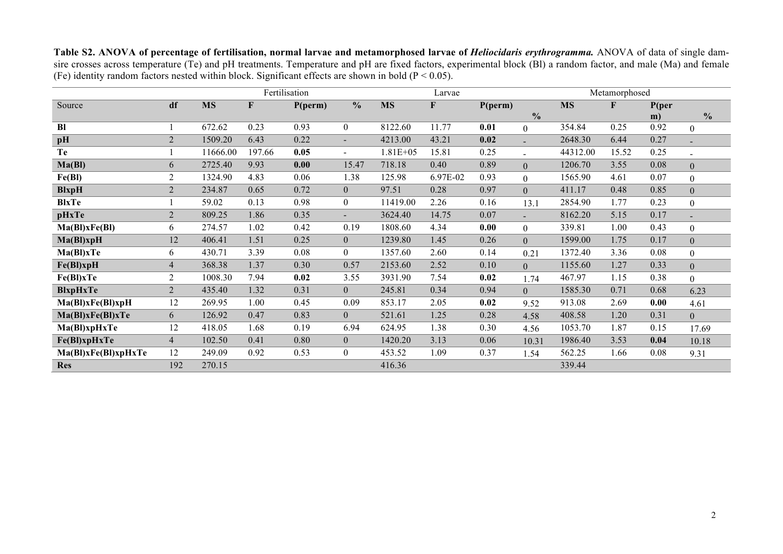Table S2. ANOVA of percentage of fertilisation, normal larvae and metamorphosed larvae of *Heliocidaris erythrogramma*. ANOVA of data of single damsire crosses across temperature (Te) and pH treatments. Temperature and pH are fixed factors, experimental block (BI) a random factor, and male (Ma) and female (Fe) identity random factors nested within block. Significant effects are shown in bold ( $P < 0.05$ ).

|                     |                |           | Fertilisation |         |                          |              | Larvae   |         |                |           | Metamorphosed |       |                  |
|---------------------|----------------|-----------|---------------|---------|--------------------------|--------------|----------|---------|----------------|-----------|---------------|-------|------------------|
| Source              | df             | <b>MS</b> | F             | P(perm) | $\frac{0}{0}$            | <b>MS</b>    | F        | P(perm) |                | <b>MS</b> | F             | P(per |                  |
|                     |                |           |               |         |                          |              |          |         | $\frac{0}{0}$  |           |               | m)    | $\frac{0}{0}$    |
| B1                  |                | 672.62    | 0.23          | 0.93    | $\boldsymbol{0}$         | 8122.60      | 11.77    | 0.01    | $\overline{0}$ | 354.84    | 0.25          | 0.92  | $\theta$         |
| pH                  | $\overline{2}$ | 1509.20   | 6.43          | 0.22    | $\overline{\phantom{a}}$ | 4213.00      | 43.21    | 0.02    |                | 2648.30   | 6.44          | 0.27  |                  |
| <b>Te</b>           |                | 11666.00  | 197.66        | 0.05    | $\blacksquare$           | $1.81E + 05$ | 15.81    | 0.25    | $\blacksquare$ | 44312.00  | 15.52         | 0.25  | $\blacksquare$   |
| Ma(BI)              | 6              | 2725.40   | 9.93          | 0.00    | 15.47                    | 718.18       | 0.40     | 0.89    | $\overline{0}$ | 1206.70   | 3.55          | 0.08  | $\overline{0}$   |
| Fe(BI)              | 2              | 1324.90   | 4.83          | 0.06    | 1.38                     | 125.98       | 6.97E-02 | 0.93    | $\overline{0}$ | 1565.90   | 4.61          | 0.07  | $\boldsymbol{0}$ |
| <b>BlxpH</b>        | $\overline{2}$ | 234.87    | 0.65          | 0.72    | $\mathbf{0}$             | 97.51        | 0.28     | 0.97    | $\overline{0}$ | 411.17    | 0.48          | 0.85  | $\overline{0}$   |
| <b>BlxTe</b>        |                | 59.02     | 0.13          | 0.98    | $\mathbf{0}$             | 11419.00     | 2.26     | 0.16    | 13.1           | 2854.90   | 1.77          | 0.23  | $\theta$         |
| pHxTe               | $\overline{2}$ | 809.25    | 1.86          | 0.35    | ٠                        | 3624.40      | 14.75    | 0.07    |                | 8162.20   | 5.15          | 0.17  |                  |
| Ma(BI)xFe(BI)       | 6              | 274.57    | 1.02          | 0.42    | 0.19                     | 1808.60      | 4.34     | 0.00    | $\overline{0}$ | 339.81    | 1.00          | 0.43  | $\theta$         |
| Ma(BI)xpH           | 12             | 406.41    | 1.51          | 0.25    | $\overline{0}$           | 1239.80      | 1.45     | 0.26    | $\overline{0}$ | 1599.00   | 1.75          | 0.17  | $\overline{0}$   |
| Ma(Bl)xTe           | 6              | 430.71    | 3.39          | 0.08    | $\boldsymbol{0}$         | 1357.60      | 2.60     | 0.14    | 0.21           | 1372.40   | 3.36          | 0.08  | $\overline{0}$   |
| $Fe(BI)$ xpH        | $\overline{4}$ | 368.38    | 1.37          | 0.30    | 0.57                     | 2153.60      | 2.52     | 0.10    | $\overline{0}$ | 1155.60   | 1.27          | 0.33  | $\overline{0}$   |
| Fe(BI)xTe           | 2              | 1008.30   | 7.94          | 0.02    | 3.55                     | 3931.90      | 7.54     | 0.02    | 1.74           | 467.97    | 1.15          | 0.38  | $\overline{0}$   |
| <b>BlxpHxTe</b>     | $\overline{2}$ | 435.40    | 1.32          | 0.31    | $\overline{0}$           | 245.81       | 0.34     | 0.94    | $\overline{0}$ | 1585.30   | 0.71          | 0.68  | 6.23             |
| Ma(BI)xFe(BI)xpH    | 12             | 269.95    | 1.00          | 0.45    | 0.09                     | 853.17       | 2.05     | 0.02    | 9.52           | 913.08    | 2.69          | 0.00  | 4.61             |
| Ma(Bl)xFe(Bl)xTe    | 6              | 126.92    | 0.47          | 0.83    | $\overline{0}$           | 521.61       | 1.25     | 0.28    | 4.58           | 408.58    | 1.20          | 0.31  | $\overline{0}$   |
| Ma(Bl)xpHxTe        | 12             | 418.05    | 1.68          | 0.19    | 6.94                     | 624.95       | 1.38     | 0.30    | 4.56           | 1053.70   | 1.87          | 0.15  | 17.69            |
| Fe(Bl)xpHxTe        | $\overline{4}$ | 102.50    | 0.41          | 0.80    | $\overline{0}$           | 1420.20      | 3.13     | 0.06    | 10.31          | 1986.40   | 3.53          | 0.04  | 10.18            |
| Ma(BI)xFe(BI)xpHxTe | 12             | 249.09    | 0.92          | 0.53    | $\boldsymbol{0}$         | 453.52       | 1.09     | 0.37    | 1.54           | 562.25    | 1.66          | 0.08  | 9.31             |
| <b>Res</b>          | 192            | 270.15    |               |         |                          | 416.36       |          |         |                | 339.44    |               |       |                  |